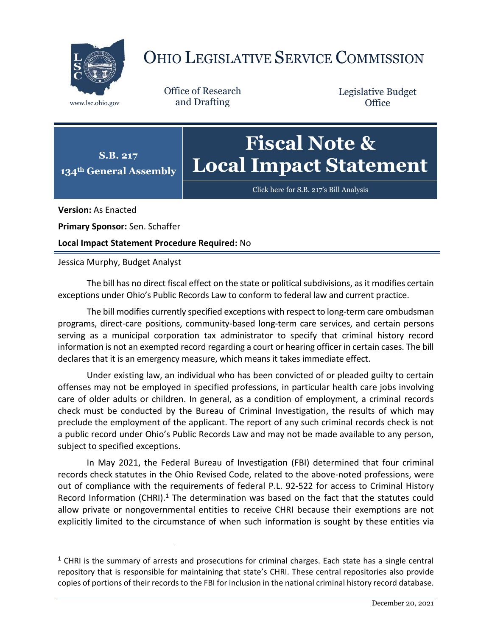

## OHIO LEGISLATIVE SERVICE COMMISSION

**S.B. 217**

Office of Research www.lsc.ohio.gov and Drafting

Legislative Budget **Office** 

## **134th General Assembly Fiscal Note & Local Impact Statement**

[Click here for S.B. 217](https://www.legislature.ohio.gov/legislation/legislation-documents?id=GA134-SB-217)'s Bill Analysis

**Version:** As Enacted

 $\overline{a}$ 

**Primary Sponsor:** Sen. Schaffer

**Local Impact Statement Procedure Required:** No

Jessica Murphy, Budget Analyst

The bill has no direct fiscal effect on the state or political subdivisions, as it modifies certain exceptions under Ohio's Public Records Law to conform to federal law and current practice.

The bill modifies currently specified exceptions with respect to long-term care ombudsman programs, direct-care positions, community-based long-term care services, and certain persons serving as a municipal corporation tax administrator to specify that criminal history record information is not an exempted record regarding a court or hearing officer in certain cases. The bill declares that it is an emergency measure, which means it takes immediate effect.

Under existing law, an individual who has been convicted of or pleaded guilty to certain offenses may not be employed in specified professions, in particular health care jobs involving care of older adults or children. In general, as a condition of employment, a criminal records check must be conducted by the Bureau of Criminal Investigation, the results of which may preclude the employment of the applicant. The report of any such criminal records check is not a public record under Ohio's Public Records Law and may not be made available to any person, subject to specified exceptions.

In May 2021, the Federal Bureau of Investigation (FBI) determined that four criminal records check statutes in the Ohio Revised Code, related to the above-noted professions, were out of compliance with the requirements of federal P.L. 92-522 for access to Criminal History Record Information (CHRI).<sup>1</sup> The determination was based on the fact that the statutes could allow private or nongovernmental entities to receive CHRI because their exemptions are not explicitly limited to the circumstance of when such information is sought by these entities via

 $<sup>1</sup>$  CHRI is the summary of arrests and prosecutions for criminal charges. Each state has a single central</sup> repository that is responsible for maintaining that state's CHRI. These central repositories also provide copies of portions of their records to the FBI for inclusion in the national criminal history record database.